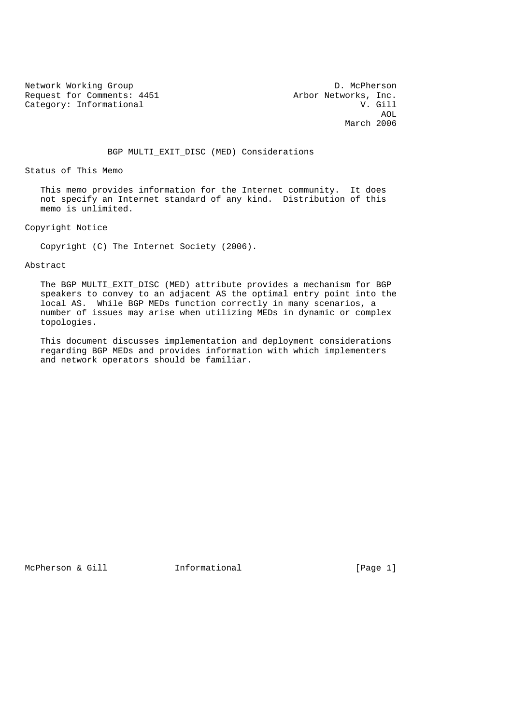Network Working Group D. McPherson<br>Request for Comments: 4451 Arbor Networks, Inc. Request for Comments: 4451 Arbor Networks, Inc.<br>Category: Informational W. Gill Category: Informational

 AOL March 2006

BGP MULTI\_EXIT\_DISC (MED) Considerations

Status of This Memo

 This memo provides information for the Internet community. It does not specify an Internet standard of any kind. Distribution of this memo is unlimited.

Copyright Notice

Copyright (C) The Internet Society (2006).

Abstract

The BGP MULTI EXIT DISC (MED) attribute provides a mechanism for BGP speakers to convey to an adjacent AS the optimal entry point into the local AS. While BGP MEDs function correctly in many scenarios, a number of issues may arise when utilizing MEDs in dynamic or complex topologies.

 This document discusses implementation and deployment considerations regarding BGP MEDs and provides information with which implementers and network operators should be familiar.

McPherson & Gill **Informational Informational** [Page 1]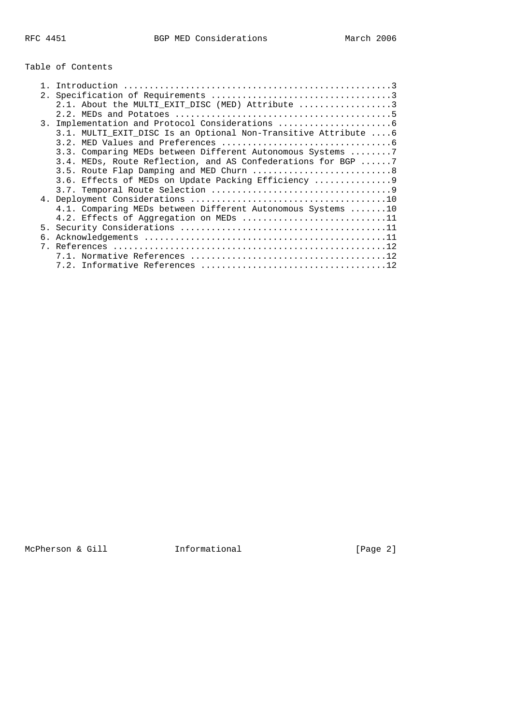# Table of Contents

| 2.1. About the MULTI EXIT DISC (MED) Attribute 3               |
|----------------------------------------------------------------|
|                                                                |
| 3. Implementation and Protocol Considerations                  |
| 3.1. MULTI_EXIT_DISC Is an Optional Non-Transitive Attribute 6 |
|                                                                |
| 3.3. Comparing MEDs between Different Autonomous Systems 7     |
| 3.4. MEDs, Route Reflection, and AS Confederations for BGP 7   |
| 3.5. Route Flap Damping and MED Churn 8                        |
| 3.6. Effects of MEDs on Update Packing Efficiency              |
|                                                                |
|                                                                |
| 4.1. Comparing MEDs between Different Autonomous Systems 10    |
| 4.2. Effects of Aggregation on MEDs 11                         |
|                                                                |
|                                                                |
|                                                                |
|                                                                |
|                                                                |

McPherson & Gill **Informational Informational** [Page 2]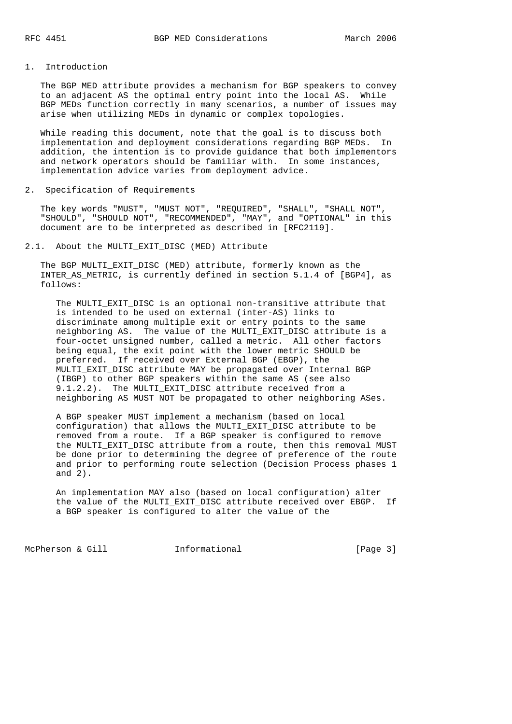# 1. Introduction

 The BGP MED attribute provides a mechanism for BGP speakers to convey to an adjacent AS the optimal entry point into the local AS. While BGP MEDs function correctly in many scenarios, a number of issues may arise when utilizing MEDs in dynamic or complex topologies.

 While reading this document, note that the goal is to discuss both implementation and deployment considerations regarding BGP MEDs. In addition, the intention is to provide guidance that both implementors and network operators should be familiar with. In some instances, implementation advice varies from deployment advice.

2. Specification of Requirements

 The key words "MUST", "MUST NOT", "REQUIRED", "SHALL", "SHALL NOT", "SHOULD", "SHOULD NOT", "RECOMMENDED", "MAY", and "OPTIONAL" in this document are to be interpreted as described in [RFC2119].

2.1. About the MULTI\_EXIT\_DISC (MED) Attribute

 The BGP MULTI\_EXIT\_DISC (MED) attribute, formerly known as the INTER\_AS\_METRIC, is currently defined in section 5.1.4 of [BGP4], as follows:

 The MULTI\_EXIT\_DISC is an optional non-transitive attribute that is intended to be used on external (inter-AS) links to discriminate among multiple exit or entry points to the same neighboring AS. The value of the MULTI\_EXIT\_DISC attribute is a four-octet unsigned number, called a metric. All other factors being equal, the exit point with the lower metric SHOULD be preferred. If received over External BGP (EBGP), the MULTI\_EXIT\_DISC attribute MAY be propagated over Internal BGP (IBGP) to other BGP speakers within the same AS (see also 9.1.2.2). The MULTI\_EXIT\_DISC attribute received from a neighboring AS MUST NOT be propagated to other neighboring ASes.

 A BGP speaker MUST implement a mechanism (based on local configuration) that allows the MULTI\_EXIT\_DISC attribute to be removed from a route. If a BGP speaker is configured to remove the MULTI\_EXIT\_DISC attribute from a route, then this removal MUST be done prior to determining the degree of preference of the route and prior to performing route selection (Decision Process phases 1 and 2).

 An implementation MAY also (based on local configuration) alter the value of the MULTI\_EXIT\_DISC attribute received over EBGP. If a BGP speaker is configured to alter the value of the

McPherson & Gill **Informational Informational** [Page 3]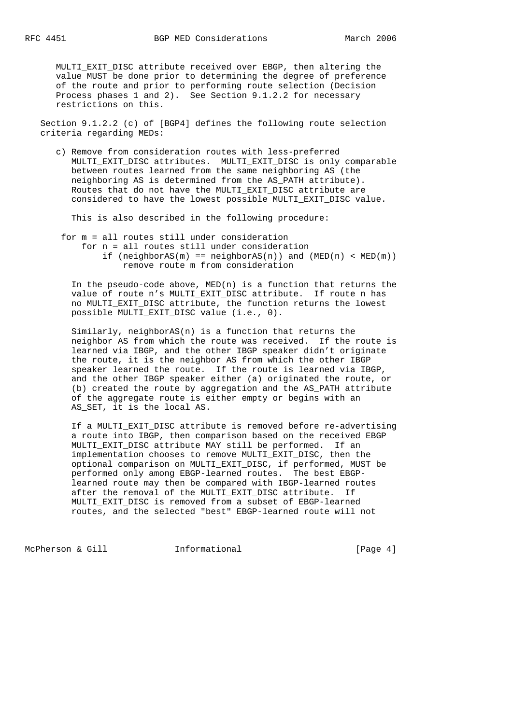MULTI\_EXIT\_DISC attribute received over EBGP, then altering the value MUST be done prior to determining the degree of preference of the route and prior to performing route selection (Decision Process phases 1 and 2). See Section 9.1.2.2 for necessary restrictions on this.

 Section 9.1.2.2 (c) of [BGP4] defines the following route selection criteria regarding MEDs:

 c) Remove from consideration routes with less-preferred MULTI\_EXIT\_DISC attributes. MULTI\_EXIT\_DISC is only comparable between routes learned from the same neighboring AS (the neighboring AS is determined from the AS\_PATH attribute). Routes that do not have the MULTI\_EXIT\_DISC attribute are considered to have the lowest possible MULTI\_EXIT\_DISC value.

This is also described in the following procedure:

 for m = all routes still under consideration for n = all routes still under consideration if (neighborAS(m) ==  $neighbourAS(n)$ ) and  $(MED(n) < MED(m))$ remove route m from consideration

In the pseudo-code above,  $MED(n)$  is a function that returns the value of route n's MULTI\_EXIT\_DISC attribute. If route n has no MULTI\_EXIT\_DISC attribute, the function returns the lowest possible MULTI EXIT DISC value (i.e., 0).

 Similarly, neighborAS(n) is a function that returns the neighbor AS from which the route was received. If the route is learned via IBGP, and the other IBGP speaker didn't originate the route, it is the neighbor AS from which the other IBGP speaker learned the route. If the route is learned via IBGP, and the other IBGP speaker either (a) originated the route, or (b) created the route by aggregation and the AS\_PATH attribute of the aggregate route is either empty or begins with an AS\_SET, it is the local AS.

 If a MULTI\_EXIT\_DISC attribute is removed before re-advertising a route into IBGP, then comparison based on the received EBGP MULTI\_EXIT\_DISC attribute MAY still be performed. If an implementation chooses to remove MULTI\_EXIT\_DISC, then the optional comparison on MULTI\_EXIT\_DISC, if performed, MUST be performed only among EBGP-learned routes. The best EBGP learned route may then be compared with IBGP-learned routes after the removal of the MULTI\_EXIT\_DISC attribute. If MULTI\_EXIT\_DISC is removed from a subset of EBGP-learned routes, and the selected "best" EBGP-learned route will not

McPherson & Gill **Informational Informational** [Page 4]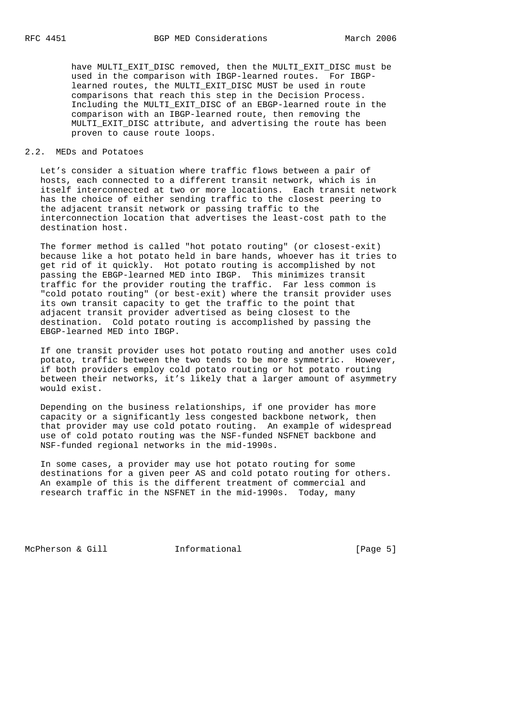have MULTI\_EXIT\_DISC removed, then the MULTI\_EXIT\_DISC must be used in the comparison with IBGP-learned routes. For IBGP learned routes, the MULTI EXIT DISC MUST be used in route comparisons that reach this step in the Decision Process. Including the MULTI\_EXIT\_DISC of an EBGP-learned route in the comparison with an IBGP-learned route, then removing the MULTI\_EXIT\_DISC attribute, and advertising the route has been proven to cause route loops.

## 2.2. MEDs and Potatoes

 Let's consider a situation where traffic flows between a pair of hosts, each connected to a different transit network, which is in itself interconnected at two or more locations. Each transit network has the choice of either sending traffic to the closest peering to the adjacent transit network or passing traffic to the interconnection location that advertises the least-cost path to the destination host.

 The former method is called "hot potato routing" (or closest-exit) because like a hot potato held in bare hands, whoever has it tries to get rid of it quickly. Hot potato routing is accomplished by not passing the EBGP-learned MED into IBGP. This minimizes transit traffic for the provider routing the traffic. Far less common is "cold potato routing" (or best-exit) where the transit provider uses its own transit capacity to get the traffic to the point that adjacent transit provider advertised as being closest to the destination. Cold potato routing is accomplished by passing the EBGP-learned MED into IBGP.

 If one transit provider uses hot potato routing and another uses cold potato, traffic between the two tends to be more symmetric. However, if both providers employ cold potato routing or hot potato routing between their networks, it's likely that a larger amount of asymmetry would exist.

 Depending on the business relationships, if one provider has more capacity or a significantly less congested backbone network, then that provider may use cold potato routing. An example of widespread use of cold potato routing was the NSF-funded NSFNET backbone and NSF-funded regional networks in the mid-1990s.

 In some cases, a provider may use hot potato routing for some destinations for a given peer AS and cold potato routing for others. An example of this is the different treatment of commercial and research traffic in the NSFNET in the mid-1990s. Today, many

McPherson & Gill **Informational Informational** [Page 5]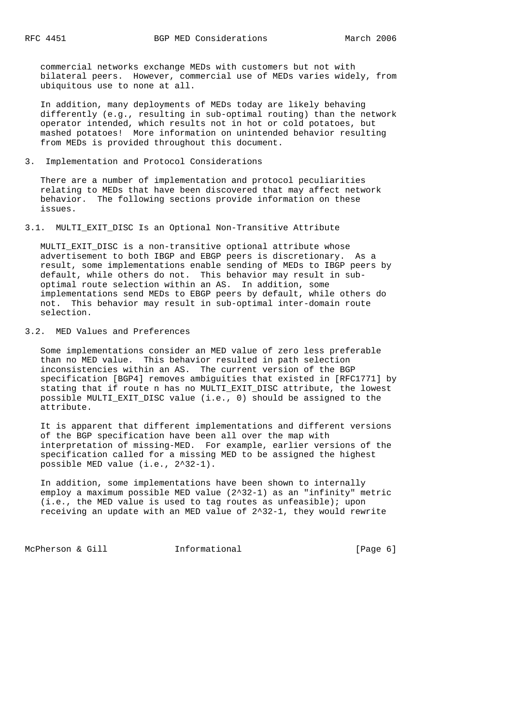commercial networks exchange MEDs with customers but not with bilateral peers. However, commercial use of MEDs varies widely, from ubiquitous use to none at all.

 In addition, many deployments of MEDs today are likely behaving differently (e.g., resulting in sub-optimal routing) than the network operator intended, which results not in hot or cold potatoes, but mashed potatoes! More information on unintended behavior resulting from MEDs is provided throughout this document.

### 3. Implementation and Protocol Considerations

 There are a number of implementation and protocol peculiarities relating to MEDs that have been discovered that may affect network behavior. The following sections provide information on these issues.

#### 3.1. MULTI\_EXIT\_DISC Is an Optional Non-Transitive Attribute

 MULTI\_EXIT\_DISC is a non-transitive optional attribute whose advertisement to both IBGP and EBGP peers is discretionary. As a result, some implementations enable sending of MEDs to IBGP peers by default, while others do not. This behavior may result in sub optimal route selection within an AS. In addition, some implementations send MEDs to EBGP peers by default, while others do not. This behavior may result in sub-optimal inter-domain route selection.

# 3.2. MED Values and Preferences

 Some implementations consider an MED value of zero less preferable than no MED value. This behavior resulted in path selection inconsistencies within an AS. The current version of the BGP specification [BGP4] removes ambiguities that existed in [RFC1771] by stating that if route n has no MULTI\_EXIT\_DISC attribute, the lowest possible MULTI\_EXIT\_DISC value (i.e., 0) should be assigned to the attribute.

 It is apparent that different implementations and different versions of the BGP specification have been all over the map with interpretation of missing-MED. For example, earlier versions of the specification called for a missing MED to be assigned the highest possible MED value (i.e., 2^32-1).

 In addition, some implementations have been shown to internally employ a maximum possible MED value (2^32-1) as an "infinity" metric (i.e., the MED value is used to tag routes as unfeasible); upon receiving an update with an MED value of 2^32-1, they would rewrite

McPherson & Gill **Informational Informational** [Page 6]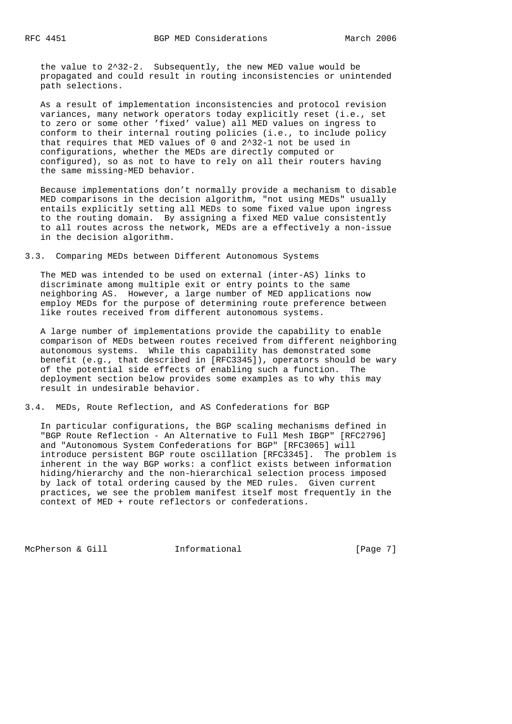the value to 2^32-2. Subsequently, the new MED value would be propagated and could result in routing inconsistencies or unintended path selections.

 As a result of implementation inconsistencies and protocol revision variances, many network operators today explicitly reset (i.e., set to zero or some other 'fixed' value) all MED values on ingress to conform to their internal routing policies (i.e., to include policy that requires that MED values of 0 and 2^32-1 not be used in configurations, whether the MEDs are directly computed or configured), so as not to have to rely on all their routers having the same missing-MED behavior.

 Because implementations don't normally provide a mechanism to disable MED comparisons in the decision algorithm, "not using MEDs" usually entails explicitly setting all MEDs to some fixed value upon ingress to the routing domain. By assigning a fixed MED value consistently to all routes across the network, MEDs are a effectively a non-issue in the decision algorithm.

3.3. Comparing MEDs between Different Autonomous Systems

 The MED was intended to be used on external (inter-AS) links to discriminate among multiple exit or entry points to the same neighboring AS. However, a large number of MED applications now employ MEDs for the purpose of determining route preference between like routes received from different autonomous systems.

 A large number of implementations provide the capability to enable comparison of MEDs between routes received from different neighboring autonomous systems. While this capability has demonstrated some benefit (e.g., that described in [RFC3345]), operators should be wary of the potential side effects of enabling such a function. The deployment section below provides some examples as to why this may result in undesirable behavior.

3.4. MEDs, Route Reflection, and AS Confederations for BGP

 In particular configurations, the BGP scaling mechanisms defined in "BGP Route Reflection - An Alternative to Full Mesh IBGP" [RFC2796] and "Autonomous System Confederations for BGP" [RFC3065] will introduce persistent BGP route oscillation [RFC3345]. The problem is inherent in the way BGP works: a conflict exists between information hiding/hierarchy and the non-hierarchical selection process imposed by lack of total ordering caused by the MED rules. Given current practices, we see the problem manifest itself most frequently in the context of MED + route reflectors or confederations.

McPherson & Gill **Informational** Informational [Page 7]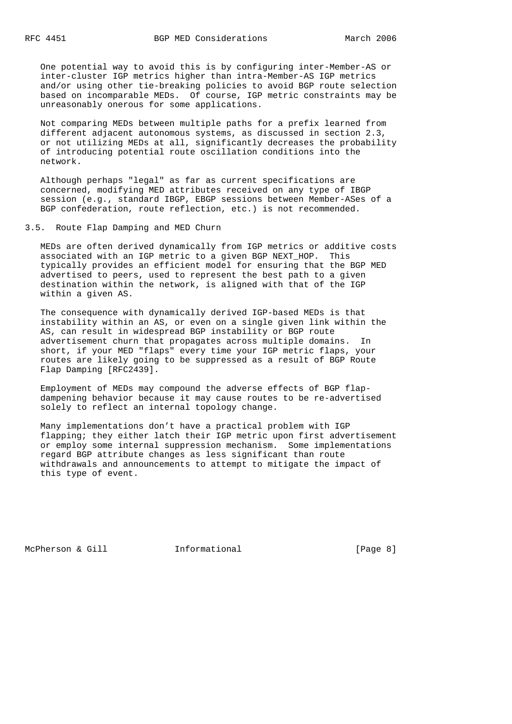One potential way to avoid this is by configuring inter-Member-AS or inter-cluster IGP metrics higher than intra-Member-AS IGP metrics and/or using other tie-breaking policies to avoid BGP route selection based on incomparable MEDs. Of course, IGP metric constraints may be unreasonably onerous for some applications.

 Not comparing MEDs between multiple paths for a prefix learned from different adjacent autonomous systems, as discussed in section 2.3, or not utilizing MEDs at all, significantly decreases the probability of introducing potential route oscillation conditions into the network.

 Although perhaps "legal" as far as current specifications are concerned, modifying MED attributes received on any type of IBGP session (e.g., standard IBGP, EBGP sessions between Member-ASes of a BGP confederation, route reflection, etc.) is not recommended.

3.5. Route Flap Damping and MED Churn

 MEDs are often derived dynamically from IGP metrics or additive costs associated with an IGP metric to a given BGP NEXT\_HOP. This typically provides an efficient model for ensuring that the BGP MED advertised to peers, used to represent the best path to a given destination within the network, is aligned with that of the IGP within a given AS.

 The consequence with dynamically derived IGP-based MEDs is that instability within an AS, or even on a single given link within the AS, can result in widespread BGP instability or BGP route advertisement churn that propagates across multiple domains. In short, if your MED "flaps" every time your IGP metric flaps, your routes are likely going to be suppressed as a result of BGP Route Flap Damping [RFC2439].

 Employment of MEDs may compound the adverse effects of BGP flap dampening behavior because it may cause routes to be re-advertised solely to reflect an internal topology change.

 Many implementations don't have a practical problem with IGP flapping; they either latch their IGP metric upon first advertisement or employ some internal suppression mechanism. Some implementations regard BGP attribute changes as less significant than route withdrawals and announcements to attempt to mitigate the impact of this type of event.

McPherson & Gill **Informational** Informational [Page 8]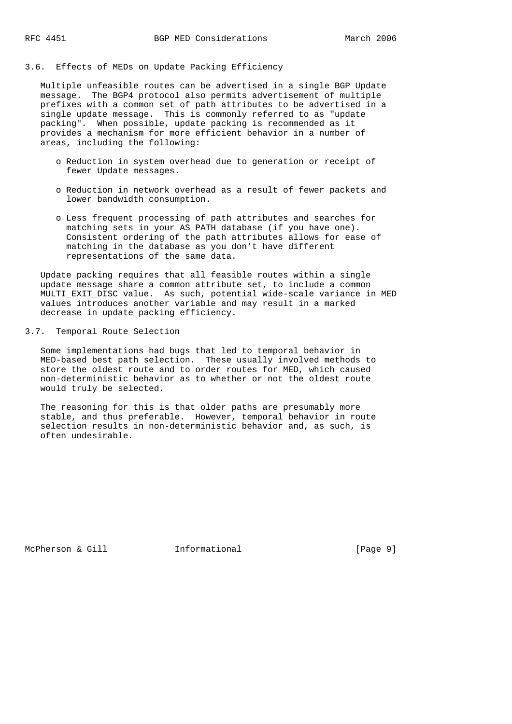# 3.6. Effects of MEDs on Update Packing Efficiency

 Multiple unfeasible routes can be advertised in a single BGP Update message. The BGP4 protocol also permits advertisement of multiple prefixes with a common set of path attributes to be advertised in a single update message. This is commonly referred to as "update packing". When possible, update packing is recommended as it provides a mechanism for more efficient behavior in a number of areas, including the following:

- o Reduction in system overhead due to generation or receipt of fewer Update messages.
- o Reduction in network overhead as a result of fewer packets and lower bandwidth consumption.
- o Less frequent processing of path attributes and searches for matching sets in your AS\_PATH database (if you have one). Consistent ordering of the path attributes allows for ease of matching in the database as you don't have different representations of the same data.

 Update packing requires that all feasible routes within a single update message share a common attribute set, to include a common MULTI\_EXIT\_DISC value. As such, potential wide-scale variance in MED values introduces another variable and may result in a marked decrease in update packing efficiency.

# 3.7. Temporal Route Selection

 Some implementations had bugs that led to temporal behavior in MED-based best path selection. These usually involved methods to store the oldest route and to order routes for MED, which caused non-deterministic behavior as to whether or not the oldest route would truly be selected.

 The reasoning for this is that older paths are presumably more stable, and thus preferable. However, temporal behavior in route selection results in non-deterministic behavior and, as such, is often undesirable.

McPherson & Gill **Informational** 10 [Page 9]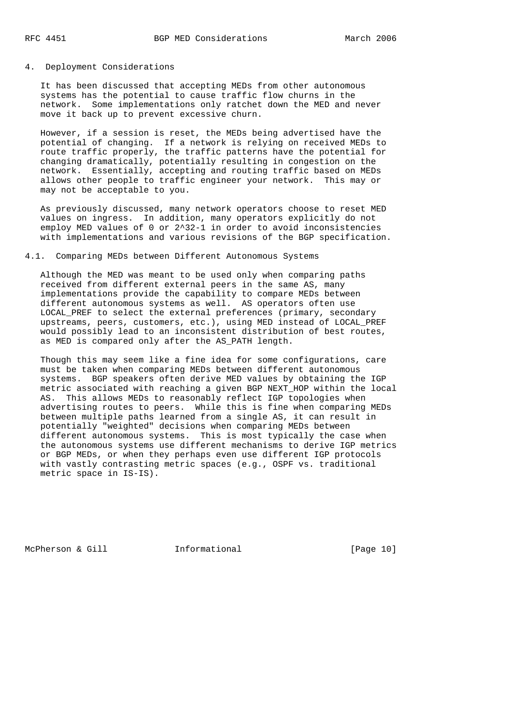#### 4. Deployment Considerations

 It has been discussed that accepting MEDs from other autonomous systems has the potential to cause traffic flow churns in the network. Some implementations only ratchet down the MED and never move it back up to prevent excessive churn.

 However, if a session is reset, the MEDs being advertised have the potential of changing. If a network is relying on received MEDs to route traffic properly, the traffic patterns have the potential for changing dramatically, potentially resulting in congestion on the network. Essentially, accepting and routing traffic based on MEDs allows other people to traffic engineer your network. This may or may not be acceptable to you.

 As previously discussed, many network operators choose to reset MED values on ingress. In addition, many operators explicitly do not employ MED values of 0 or 2^32-1 in order to avoid inconsistencies with implementations and various revisions of the BGP specification.

# 4.1. Comparing MEDs between Different Autonomous Systems

 Although the MED was meant to be used only when comparing paths received from different external peers in the same AS, many implementations provide the capability to compare MEDs between different autonomous systems as well. AS operators often use LOCAL\_PREF to select the external preferences (primary, secondary upstreams, peers, customers, etc.), using MED instead of LOCAL\_PREF would possibly lead to an inconsistent distribution of best routes, as MED is compared only after the AS\_PATH length.

 Though this may seem like a fine idea for some configurations, care must be taken when comparing MEDs between different autonomous systems. BGP speakers often derive MED values by obtaining the IGP metric associated with reaching a given BGP NEXT\_HOP within the local AS. This allows MEDs to reasonably reflect IGP topologies when advertising routes to peers. While this is fine when comparing MEDs between multiple paths learned from a single AS, it can result in potentially "weighted" decisions when comparing MEDs between different autonomous systems. This is most typically the case when the autonomous systems use different mechanisms to derive IGP metrics or BGP MEDs, or when they perhaps even use different IGP protocols with vastly contrasting metric spaces (e.g., OSPF vs. traditional metric space in IS-IS).

McPherson & Gill **Informational** [Page 10]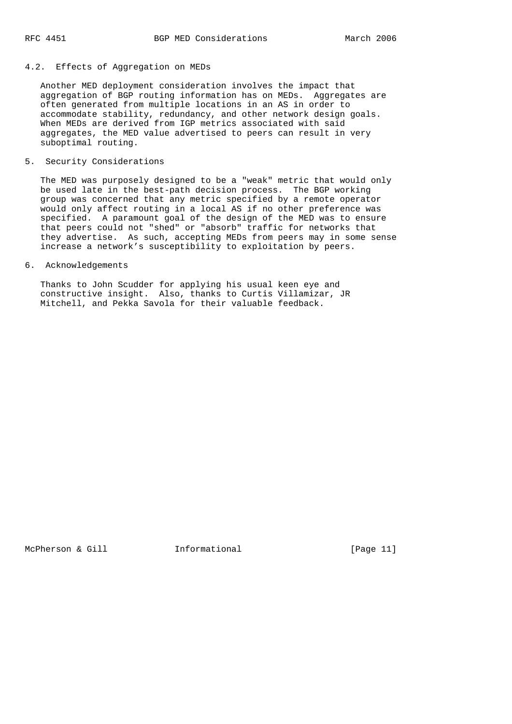### 4.2. Effects of Aggregation on MEDs

 Another MED deployment consideration involves the impact that aggregation of BGP routing information has on MEDs. Aggregates are often generated from multiple locations in an AS in order to accommodate stability, redundancy, and other network design goals. When MEDs are derived from IGP metrics associated with said aggregates, the MED value advertised to peers can result in very suboptimal routing.

#### 5. Security Considerations

 The MED was purposely designed to be a "weak" metric that would only be used late in the best-path decision process. The BGP working group was concerned that any metric specified by a remote operator would only affect routing in a local AS if no other preference was specified. A paramount goal of the design of the MED was to ensure that peers could not "shed" or "absorb" traffic for networks that they advertise. As such, accepting MEDs from peers may in some sense increase a network's susceptibility to exploitation by peers.

# 6. Acknowledgements

 Thanks to John Scudder for applying his usual keen eye and constructive insight. Also, thanks to Curtis Villamizar, JR Mitchell, and Pekka Savola for their valuable feedback.

McPherson & Gill **Informational** [Page 11]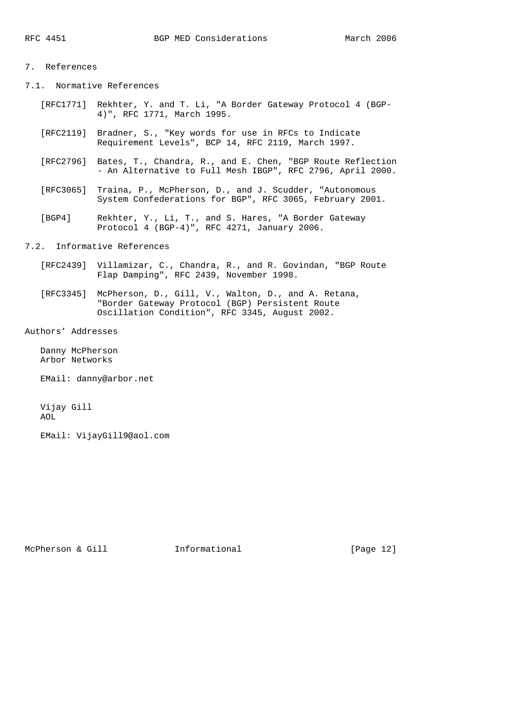# 7. References

7.1. Normative References

- [RFC1771] Rekhter, Y. and T. Li, "A Border Gateway Protocol 4 (BGP- 4)", RFC 1771, March 1995.
- [RFC2119] Bradner, S., "Key words for use in RFCs to Indicate Requirement Levels", BCP 14, RFC 2119, March 1997.
- [RFC2796] Bates, T., Chandra, R., and E. Chen, "BGP Route Reflection - An Alternative to Full Mesh IBGP", RFC 2796, April 2000.
- [RFC3065] Traina, P., McPherson, D., and J. Scudder, "Autonomous System Confederations for BGP", RFC 3065, February 2001.
- [BGP4] Rekhter, Y., Li, T., and S. Hares, "A Border Gateway Protocol 4 (BGP-4)", RFC 4271, January 2006.

# 7.2. Informative References

- [RFC2439] Villamizar, C., Chandra, R., and R. Govindan, "BGP Route Flap Damping", RFC 2439, November 1998.
- [RFC3345] McPherson, D., Gill, V., Walton, D., and A. Retana, "Border Gateway Protocol (BGP) Persistent Route Oscillation Condition", RFC 3345, August 2002.

Authors' Addresses

 Danny McPherson Arbor Networks

EMail: danny@arbor.net

 Vijay Gill AOL

EMail: VijayGill9@aol.com

McPherson & Gill **Informational** [Page 12]